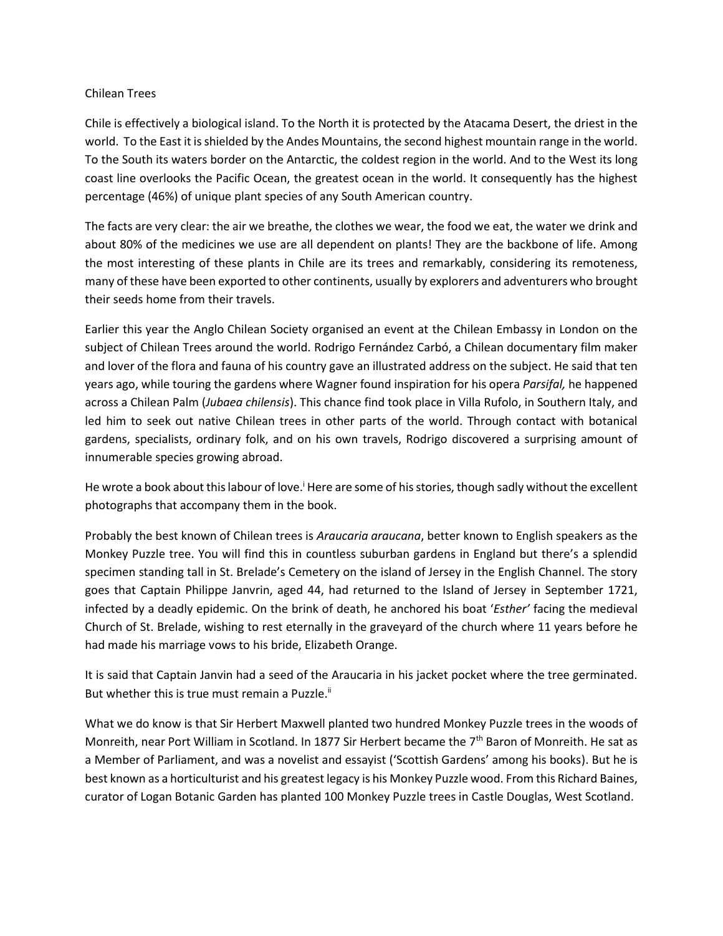## Chilean Trees

Chile is effectively a biological island. To the North it is protected by the Atacama Desert, the driest in the world. To the East it is shielded by the Andes Mountains, the second highest mountain range in the world. To the South its waters border on the Antarctic, the coldest region in the world. And to the West its long coast line overlooks the Pacific Ocean, the greatest ocean in the world. It consequently has the highest percentage (46%) of unique plant species of any South American country.

The facts are very clear: the air we breathe, the clothes we wear, the food we eat, the water we drink and about 80% of the medicines we use are all dependent on plants! They are the backbone of life. Among the most interesting of these plants in Chile are its trees and remarkably, considering its remoteness, many of these have been exported to other continents, usually by explorers and adventurers who brought their seeds home from their travels.

Earlier this year the Anglo Chilean Society organised an event at the Chilean Embassy in London on the subject of Chilean Trees around the world. Rodrigo Fernández Carbó, a Chilean documentary film maker and lover of the flora and fauna of his country gave an illustrated address on the subject. He said that ten years ago, while touring the gardens where Wagner found inspiration for his opera *Parsifal,* he happened across a Chilean Palm (*Jubaea chilensis*). This chance find took place in Villa Rufolo, in Southern Italy, and led him to seek out native Chilean trees in other parts of the world. Through contact with botanical gardens, specialists, ordinary folk, and on his own travels, Rodrigo discovered a surprising amount of innumerable species growing abroad.

He wrote a book about this labour of love.<sup>i</sup> Here are some of his stories, though sadly without the excellent photographs that accompany them in the book.

Probably the best known of Chilean trees is *Araucaria araucana*, better known to English speakers as the Monkey Puzzle tree. You will find this in countless suburban gardens in England but there's a splendid specimen standing tall in St. Brelade's Cemetery on the island of Jersey in the English Channel. The story goes that Captain Philippe Janvrin, aged 44, had returned to the Island of Jersey in September 1721, infected by a deadly epidemic. On the brink of death, he anchored his boat '*Esther'* facing the medieval Church of St. Brelade, wishing to rest eternally in the graveyard of the church where 11 years before he had made his marriage vows to his bride, Elizabeth Orange.

It is said that Captain Janvin had a seed of the Araucaria in his jacket pocket where the tree germinated. But whether this is true must remain a Puzzle.<sup>ii</sup>

What we do know is that Sir Herbert Maxwell planted two hundred Monkey Puzzle trees in the woods of Monreith, near Port William in Scotland. In 1877 Sir Herbert became the 7<sup>th</sup> Baron of Monreith. He sat as a Member of Parliament, and was a novelist and essayist ('Scottish Gardens' among his books). But he is best known as a horticulturist and his greatest legacy is his Monkey Puzzle wood. From this Richard Baines, curator of Logan Botanic Garden has planted 100 Monkey Puzzle trees in Castle Douglas, West Scotland.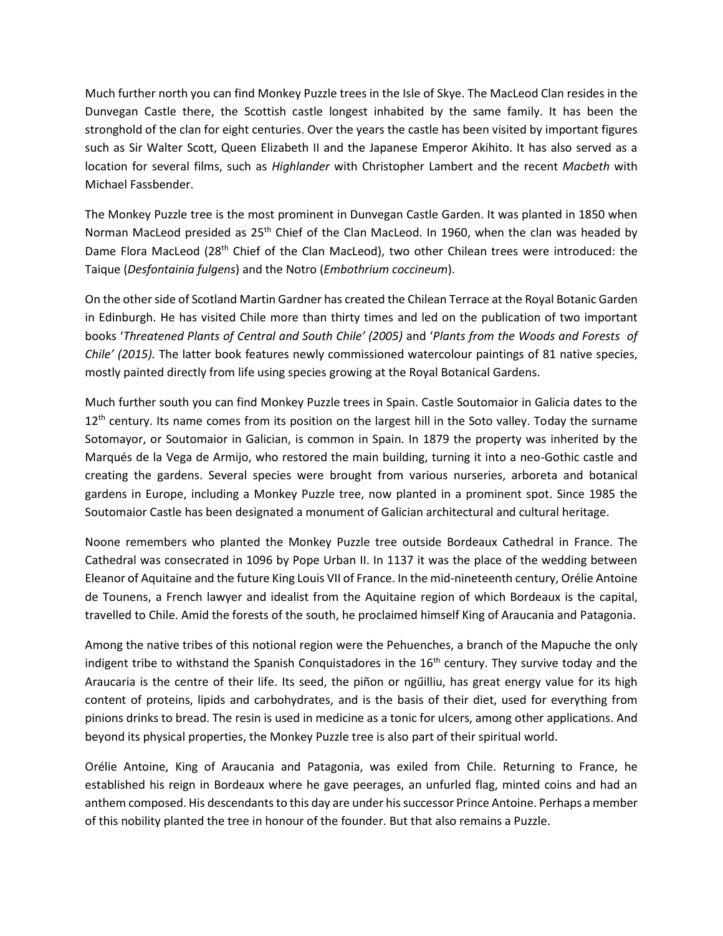Much further north you can find Monkey Puzzle trees in the Isle of Skye. The MacLeod Clan resides in the Dunvegan Castle there, the Scottish castle longest inhabited by the same family. It has been the stronghold of the clan for eight centuries. Over the years the castle has been visited by important figures such as Sir Walter Scott, Queen Elizabeth II and the Japanese Emperor Akihito. It has also served as a location for several films, such as *Highlander* with Christopher Lambert and the recent *Macbeth* with Michael Fassbender.

The Monkey Puzzle tree is the most prominent in Dunvegan Castle Garden. It was planted in 1850 when Norman MacLeod presided as 25<sup>th</sup> Chief of the Clan MacLeod. In 1960, when the clan was headed by Dame Flora MacLeod (28<sup>th</sup> Chief of the Clan MacLeod), two other Chilean trees were introduced: the Taique (*Desfontainia fulgens*) and the Notro (*Embothrium coccineum*).

On the other side of Scotland Martin Gardner has created the Chilean Terrace at the Royal Botanic Garden in Edinburgh. He has visited Chile more than thirty times and led on the publication of two important books '*Threatened Plants of Central and South Chile' (2005)* and '*Plants from the Woods and Forests of Chile' (2015).* The latter book features newly commissioned watercolour paintings of 81 native species, mostly painted directly from life using species growing at the Royal Botanical Gardens.

Much further south you can find Monkey Puzzle trees in Spain. Castle Soutomaior in Galicia dates to the 12<sup>th</sup> century. Its name comes from its position on the largest hill in the Soto valley. Today the surname Sotomayor, or Soutomaior in Galician, is common in Spain. In 1879 the property was inherited by the Marqués de la Vega de Armijo, who restored the main building, turning it into a neo-Gothic castle and creating the gardens. Several species were brought from various nurseries, arboreta and botanical gardens in Europe, including a Monkey Puzzle tree, now planted in a prominent spot. Since 1985 the Soutomaior Castle has been designated a monument of Galician architectural and cultural heritage.

Noone remembers who planted the Monkey Puzzle tree outside Bordeaux Cathedral in France. The Cathedral was consecrated in 1096 by Pope Urban II. In 1137 it was the place of the wedding between Eleanor of Aquitaine and the future King Louis VII of France. In the mid-nineteenth century, Orélie Antoine de Tounens, a French lawyer and idealist from the Aquitaine region of which Bordeaux is the capital, travelled to Chile. Amid the forests of the south, he proclaimed himself King of Araucania and Patagonia.

Among the native tribes of this notional region were the Pehuenches, a branch of the Mapuche the only indigent tribe to withstand the Spanish Conquistadores in the  $16<sup>th</sup>$  century. They survive today and the Araucaria is the centre of their life. Its seed, the piñon or ngűilliu, has great energy value for its high content of proteins, lipids and carbohydrates, and is the basis of their diet, used for everything from pinions drinks to bread. The resin is used in medicine as a tonic for ulcers, among other applications. And beyond its physical properties, the Monkey Puzzle tree is also part of their spiritual world.

Orélie Antoine, King of Araucania and Patagonia, was exiled from Chile. Returning to France, he established his reign in Bordeaux where he gave peerages, an unfurled flag, minted coins and had an anthem composed. His descendants to this day are under his successor Prince Antoine. Perhaps a member of this nobility planted the tree in honour of the founder. But that also remains a Puzzle.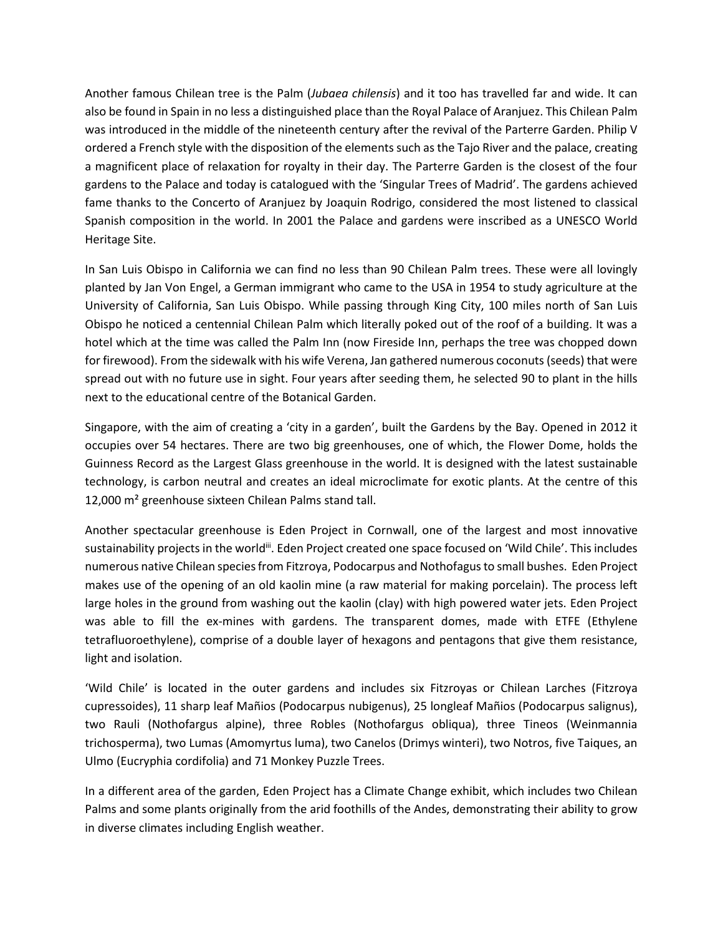Another famous Chilean tree is the Palm (*Jubaea chilensis*) and it too has travelled far and wide. It can also be found in Spain in no less a distinguished place than the Royal Palace of Aranjuez. This Chilean Palm was introduced in the middle of the nineteenth century after the revival of the Parterre Garden. Philip V ordered a French style with the disposition of the elements such as the Tajo River and the palace, creating a magnificent place of relaxation for royalty in their day. The Parterre Garden is the closest of the four gardens to the Palace and today is catalogued with the 'Singular Trees of Madrid'. The gardens achieved fame thanks to the Concerto of Aranjuez by Joaquin Rodrigo, considered the most listened to classical Spanish composition in the world. In 2001 the Palace and gardens were inscribed as a UNESCO World Heritage Site.

In San Luis Obispo in California we can find no less than 90 Chilean Palm trees. These were all lovingly planted by Jan Von Engel, a German immigrant who came to the USA in 1954 to study agriculture at the University of California, San Luis Obispo. While passing through King City, 100 miles north of San Luis Obispo he noticed a centennial Chilean Palm which literally poked out of the roof of a building. It was a hotel which at the time was called the Palm Inn (now Fireside Inn, perhaps the tree was chopped down for firewood). From the sidewalk with his wife Verena, Jan gathered numerous coconuts (seeds) that were spread out with no future use in sight. Four years after seeding them, he selected 90 to plant in the hills next to the educational centre of the Botanical Garden.

Singapore, with the aim of creating a 'city in a garden', built the Gardens by the Bay. Opened in 2012 it occupies over 54 hectares. There are two big greenhouses, one of which, the Flower Dome, holds the Guinness Record as the Largest Glass greenhouse in the world. It is designed with the latest sustainable technology, is carbon neutral and creates an ideal microclimate for exotic plants. At the centre of this 12,000 m² greenhouse sixteen Chilean Palms stand tall.

Another spectacular greenhouse is Eden Project in Cornwall, one of the largest and most innovative sustainability projects in the world<sup>iii</sup>. Eden Project created one space focused on 'Wild Chile'. This includes numerous native Chilean species from Fitzroya, Podocarpus and Nothofagusto small bushes. Eden Project makes use of the opening of an old kaolin mine (a raw material for making porcelain). The process left large holes in the ground from washing out the kaolin (clay) with high powered water jets. Eden Project was able to fill the ex-mines with gardens. The transparent domes, made with ETFE (Ethylene tetrafluoroethylene), comprise of a double layer of hexagons and pentagons that give them resistance, light and isolation.

'Wild Chile' is located in the outer gardens and includes six Fitzroyas or Chilean Larches (Fitzroya cupressoides), 11 sharp leaf Mañios (Podocarpus nubigenus), 25 longleaf Mañios (Podocarpus salignus), two Rauli (Nothofargus alpine), three Robles (Nothofargus obliqua), three Tineos (Weinmannia trichosperma), two Lumas (Amomyrtus luma), two Canelos (Drimys winteri), two Notros, five Taiques, an Ulmo (Eucryphia cordifolia) and 71 Monkey Puzzle Trees.

In a different area of the garden, Eden Project has a Climate Change exhibit, which includes two Chilean Palms and some plants originally from the arid foothills of the Andes, demonstrating their ability to grow in diverse climates including English weather.